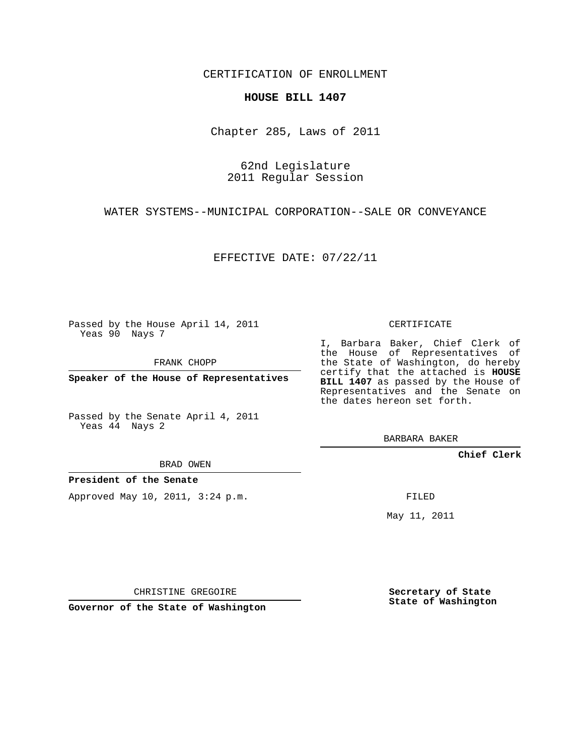CERTIFICATION OF ENROLLMENT

## **HOUSE BILL 1407**

Chapter 285, Laws of 2011

62nd Legislature 2011 Regular Session

WATER SYSTEMS--MUNICIPAL CORPORATION--SALE OR CONVEYANCE

EFFECTIVE DATE: 07/22/11

Passed by the House April 14, 2011 Yeas 90 Nays 7

FRANK CHOPP

**Speaker of the House of Representatives**

Passed by the Senate April 4, 2011 Yeas 44 Nays 2

BRAD OWEN

**President of the Senate**

Approved May 10, 2011, 3:24 p.m.

CERTIFICATE

I, Barbara Baker, Chief Clerk of the House of Representatives of the State of Washington, do hereby certify that the attached is **HOUSE** BILL 1407 as passed by the House of Representatives and the Senate on the dates hereon set forth.

BARBARA BAKER

**Chief Clerk**

FILED

May 11, 2011

CHRISTINE GREGOIRE

**Governor of the State of Washington**

**Secretary of State State of Washington**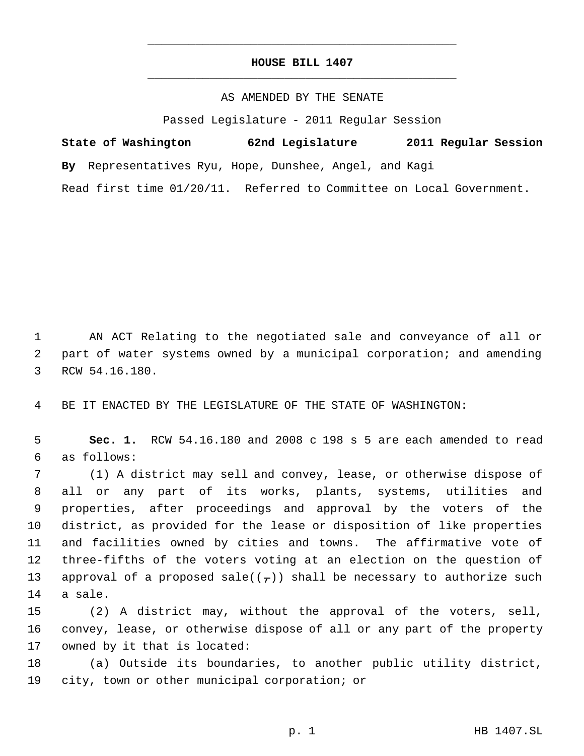## **HOUSE BILL 1407** \_\_\_\_\_\_\_\_\_\_\_\_\_\_\_\_\_\_\_\_\_\_\_\_\_\_\_\_\_\_\_\_\_\_\_\_\_\_\_\_\_\_\_\_\_

\_\_\_\_\_\_\_\_\_\_\_\_\_\_\_\_\_\_\_\_\_\_\_\_\_\_\_\_\_\_\_\_\_\_\_\_\_\_\_\_\_\_\_\_\_

## AS AMENDED BY THE SENATE

Passed Legislature - 2011 Regular Session

| State of Washington          | 62nd Legislature                                       | 2011 Regular Session                       |
|------------------------------|--------------------------------------------------------|--------------------------------------------|
|                              | By Representatives Ryu, Hope, Dunshee, Angel, and Kagi |                                            |
| Read first time $01/20/11$ . |                                                        | Referred to Committee on Local Government. |

AN ACT Relating to the negotiated sale and conveyance of all or

 part of water systems owned by a municipal corporation; and amending RCW 54.16.180.

BE IT ENACTED BY THE LEGISLATURE OF THE STATE OF WASHINGTON:

 **Sec. 1.** RCW 54.16.180 and 2008 c 198 s 5 are each amended to read as follows:

 (1) A district may sell and convey, lease, or otherwise dispose of all or any part of its works, plants, systems, utilities and properties, after proceedings and approval by the voters of the district, as provided for the lease or disposition of like properties and facilities owned by cities and towns. The affirmative vote of three-fifths of the voters voting at an election on the question of 13 approval of a proposed sale( $(\tau)$ ) shall be necessary to authorize such a sale.

 (2) A district may, without the approval of the voters, sell, convey, lease, or otherwise dispose of all or any part of the property owned by it that is located:

 (a) Outside its boundaries, to another public utility district, city, town or other municipal corporation; or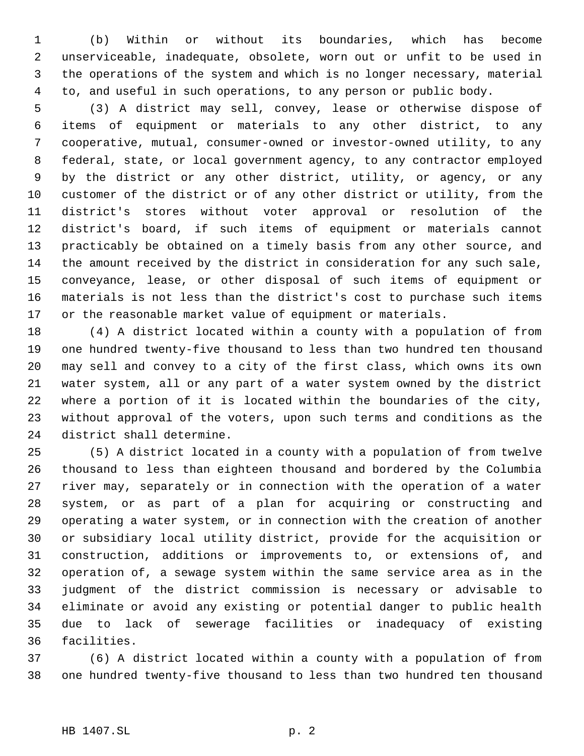(b) Within or without its boundaries, which has become unserviceable, inadequate, obsolete, worn out or unfit to be used in the operations of the system and which is no longer necessary, material to, and useful in such operations, to any person or public body.

 (3) A district may sell, convey, lease or otherwise dispose of items of equipment or materials to any other district, to any cooperative, mutual, consumer-owned or investor-owned utility, to any federal, state, or local government agency, to any contractor employed by the district or any other district, utility, or agency, or any customer of the district or of any other district or utility, from the district's stores without voter approval or resolution of the district's board, if such items of equipment or materials cannot practicably be obtained on a timely basis from any other source, and the amount received by the district in consideration for any such sale, conveyance, lease, or other disposal of such items of equipment or materials is not less than the district's cost to purchase such items or the reasonable market value of equipment or materials.

 (4) A district located within a county with a population of from one hundred twenty-five thousand to less than two hundred ten thousand may sell and convey to a city of the first class, which owns its own water system, all or any part of a water system owned by the district where a portion of it is located within the boundaries of the city, without approval of the voters, upon such terms and conditions as the district shall determine.

 (5) A district located in a county with a population of from twelve thousand to less than eighteen thousand and bordered by the Columbia river may, separately or in connection with the operation of a water system, or as part of a plan for acquiring or constructing and operating a water system, or in connection with the creation of another or subsidiary local utility district, provide for the acquisition or construction, additions or improvements to, or extensions of, and operation of, a sewage system within the same service area as in the judgment of the district commission is necessary or advisable to eliminate or avoid any existing or potential danger to public health due to lack of sewerage facilities or inadequacy of existing facilities.

 (6) A district located within a county with a population of from one hundred twenty-five thousand to less than two hundred ten thousand